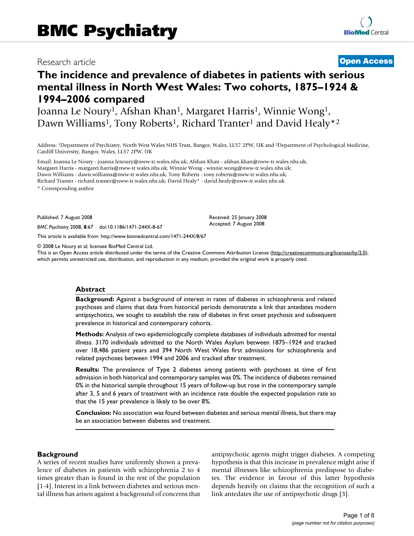## Research article **[Open Access](http://www.biomedcentral.com/info/about/charter/)**

# **The incidence and prevalence of diabetes in patients with serious mental illness in North West Wales: Two cohorts, 1875–1924 & 1994–2006 compared**

Joanna Le Noury<sup>1</sup>, Afshan Khan<sup>1</sup>, Margaret Harris<sup>1</sup>, Winnie Wong<sup>1</sup>, Dawn Williams<sup>1</sup>, Tony Roberts<sup>1</sup>, Richard Tranter<sup>1</sup> and David Healy<sup>\*2</sup>

Address: 1Department of Psychiatry, North West Wales NHS Trust, Bangor, Wales, LL57 2PW, UK and 2Department of Psychological Medicine, Cardiff University, Bangor, Wales, LL57 2PW, UK

Email: Joanna Le Noury - joanna.lenoury@nww-tr.wales.nhs.uk; Afshan Khan - afshan.khan@nww-tr.wales.nhs.uk; Margaret Harris - margaret.harris@nww-tr.wales.nhs.uk; Winnie Wong - winnie.wong@nww-tr.wales.nhs.uk; Dawn Williams - dawn.williams@nww-tr.wales.nhs.uk; Tony Roberts - tony.roberts@nww-tr.wales.nhs.uk; Richard Tranter - richard.tranter@nww-tr.wales.nhs.uk; David Healy\* - david.healy@nww-tr.wales.nhs.uk

\* Corresponding author

Published: 7 August 2008

*BMC Psychiatry* 2008, **8**:67 doi:10.1186/1471-244X-8-67

[This article is available from: http://www.biomedcentral.com/1471-244X/8/67](http://www.biomedcentral.com/1471-244X/8/67)

© 2008 Le Noury et al; licensee BioMed Central Ltd.

This is an Open Access article distributed under the terms of the Creative Commons Attribution License [\(http://creativecommons.org/licenses/by/2.0\)](http://creativecommons.org/licenses/by/2.0), which permits unrestricted use, distribution, and reproduction in any medium, provided the original work is properly cited.

Received: 25 January 2008 Accepted: 7 August 2008

#### **Abstract**

**Background:** Against a background of interest in rates of diabetes in schizophrenia and related psychoses and claims that data from historical periods demonstrate a link that antedates modern antipsychotics, we sought to establish the rate of diabetes in first onset psychosis and subsequent prevalence in historical and contemporary cohorts.

**Methods:** Analysis of two epidemiologically complete databases of individuals admitted for mental illness. 3170 individuals admitted to the North Wales Asylum between 1875–1924 and tracked over 18,486 patient years and 394 North West Wales first admissions for schizophrenia and related psychoses between 1994 and 2006 and tracked after treatment.

**Results:** The prevalence of Type 2 diabetes among patients with psychoses at time of first admission in both historical and contemporary samples was 0%. The incidence of diabetes remained 0% in the historical sample throughout 15 years of follow-up but rose in the contemporary sample after 3, 5 and 6 years of treatment with an incidence rate double the expected population rate so that the 15 year prevalence is likely to be over 8%.

**Conclusion:** No association was found between diabetes and serious mental illness, but there may be an association between diabetes and treatment.

#### **Background**

A series of recent studies have uniformly shown a prevalence of diabetes in patients with schizophrenia 2 to 4 times greater than is found in the rest of the population [1-4]. Interest in a link between diabetes and serious mental illness has arisen against a background of concerns that antipsychotic agents might trigger diabetes. A competing hypothesis is that this increase in prevalence might arise if mental illnesses like schizophrenia predispose to diabetes. The evidence in favour of this latter hypothesis depends heavily on claims that the recognition of such a link antedates the use of antipsychotic drugs [3].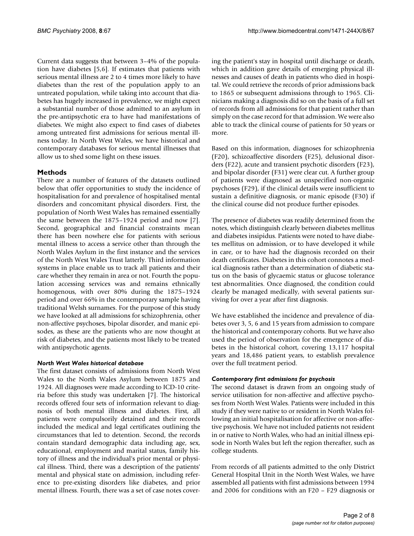Current data suggests that between 3–4% of the population have diabetes [5,6]. If estimates that patients with serious mental illness are 2 to 4 times more likely to have diabetes than the rest of the population apply to an untreated population, while taking into account that diabetes has hugely increased in prevalence, we might expect a substantial number of those admitted to an asylum in the pre-antipsychotic era to have had manifestations of diabetes. We might also expect to find cases of diabetes among untreated first admissions for serious mental illness today. In North West Wales, we have historical and contemporary databases for serious mental illnesses that allow us to shed some light on these issues.

#### **Methods**

There are a number of features of the datasets outlined below that offer opportunities to study the incidence of hospitalisation for and prevalence of hospitalised mental disorders and concomitant physical disorders. First, the population of North West Wales has remained essentially the same between the 1875–1924 period and now [7]. Second, geographical and financial constraints mean there has been nowhere else for patients with serious mental illness to access a service other than through the North Wales Asylum in the first instance and the services of the North West Wales Trust latterly. Third information systems in place enable us to track all patients and their care whether they remain in area or not. Fourth the population accessing services was and remains ethnically homogenous, with over 80% during the 1875–1924 period and over 66% in the contemporary sample having traditional Welsh surnames. For the purpose of this study we have looked at all admissions for schizophrenia, other non-affective psychoses, bipolar disorder, and manic episodes, as these are the patients who are now thought at risk of diabetes, and the patients most likely to be treated with antipsychotic agents.

#### *North West Wales historical database*

The first dataset consists of admissions from North West Wales to the North Wales Asylum between 1875 and 1924. All diagnoses were made according to ICD-10 criteria before this study was undertaken [7]. The historical records offered four sets of information relevant to diagnosis of both mental illness and diabetes. First, all patients were compulsorily detained and their records included the medical and legal certificates outlining the circumstances that led to detention. Second, the records contain standard demographic data including age, sex, educational, employment and marital status, family history of illness and the individual's prior mental or physical illness. Third, there was a description of the patients' mental and physical state on admission, including reference to pre-existing disorders like diabetes, and prior mental illness. Fourth, there was a set of case notes covering the patient's stay in hospital until discharge or death, which in addition gave details of emerging physical illnesses and causes of death in patients who died in hospital. We could retrieve the records of prior admissions back to 1865 or subsequent admissions through to 1965. Clinicians making a diagnosis did so on the basis of a full set of records from all admissions for that patient rather than simply on the case record for that admission. We were also able to track the clinical course of patients for 50 years or more.

Based on this information, diagnoses for schizophrenia (F20), schizoaffective disorders (F25), delusional disorders (F22), acute and transient psychotic disorders (F23), and bipolar disorder (F31) were clear cut. A further group of patients were diagnosed as unspecified non-organic psychoses (F29), if the clinical details were insufficient to sustain a definitive diagnosis, or manic episode (F30) if the clinical course did not produce further episodes.

The presence of diabetes was readily determined from the notes, which distinguish clearly between diabetes mellitus and diabetes insipidus. Patients were noted to have diabetes mellitus on admission, or to have developed it while in care, or to have had the diagnosis recorded on their death certificates. Diabetes in this cohort connotes a medical diagnosis rather than a determination of diabetic status on the basis of glycaemic status or glucose tolerance test abnormalities. Once diagnosed, the condition could clearly be managed medically, with several patients surviving for over a year after first diagnosis.

We have established the incidence and prevalence of diabetes over 3, 5, 6 and 15 years from admission to compare the historical and contemporary cohorts. But we have also used the period of observation for the emergence of diabetes in the historical cohort, covering 13,117 hospital years and 18,486 patient years, to establish prevalence over the full treatment period.

#### *Contemporary first admissions for psychosis*

The second dataset is drawn from an ongoing study of service utilisation for non-affective and affective psychoses from North West Wales. Patients were included in this study if they were native to or resident in North Wales following an initial hospitalisation for affective or non-affective psychosis. We have not included patients not resident in or native to North Wales, who had an initial illness episode in North Wales but left the region thereafter, such as college students.

From records of all patients admitted to the only District General Hospital Unit in the North West Wales, we have assembled all patients with first admissions between 1994 and 2006 for conditions with an F20 – F29 diagnosis or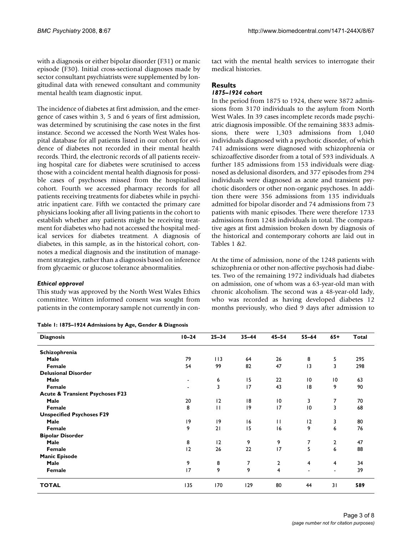with a diagnosis or either bipolar disorder (F31) or manic episode (F30). Initial cross-sectional diagnoses made by sector consultant psychiatrists were supplemented by longitudinal data with renewed consultant and community mental health team diagnostic input.

The incidence of diabetes at first admission, and the emergence of cases within 3, 5 and 6 years of first admission, was determined by scrutinising the case notes in the first instance. Second we accessed the North West Wales hospital database for all patients listed in our cohort for evidence of diabetes not recorded in their mental health records. Third, the electronic records of all patients receiving hospital care for diabetes were scrutinised to access those with a coincident mental health diagnosis for possible cases of psychoses missed from the hospitalised cohort. Fourth we accessed pharmacy records for all patients receiving treatments for diabetes while in psychiatric inpatient care. Fifth we contacted the primary care physicians looking after all living patients in the cohort to establish whether any patients might be receiving treatment for diabetes who had not accessed the hospital medical services for diabetes treatment. A diagnosis of diabetes, in this sample, as in the historical cohort, connotes a medical diagnosis and the institution of management strategies, rather than a diagnosis based on inference from glycaemic or glucose tolerance abnormalities.

#### *Ethical approval*

This study was approved by the North West Wales Ethics committee. Written informed consent was sought from patients in the contemporary sample not currently in con-

|  |  |  |  |  |  |  |  |  | Table 1: 1875–1924 Admissions by Age, Gender & Diagnosis |
|--|--|--|--|--|--|--|--|--|----------------------------------------------------------|
|--|--|--|--|--|--|--|--|--|----------------------------------------------------------|

tact with the mental health services to interrogate their medical histories.

#### **Results**

### *1875–1924 cohort*

In the period from 1875 to 1924, there were 3872 admissions from 3170 individuals to the asylum from North West Wales. In 39 cases incomplete records made psychiatric diagnosis impossible. Of the remaining 3833 admissions, there were 1,303 admissions from 1,040 individuals diagnosed with a psychotic disorder, of which 741 admissions were diagnosed with schizophrenia or schizoaffective disorder from a total of 593 individuals. A further 185 admissions from 153 individuals were diagnosed as delusional disorders, and 377 episodes from 294 individuals were diagnosed as acute and transient psychotic disorders or other non-organic psychoses. In addition there were 356 admissions from 135 individuals admitted for bipolar disorder and 74 admissions from 73 patients with manic episodes. There were therefore 1733 admissions from 1248 individuals in total. The comparative ages at first admission broken down by diagnosis of the historical and contemporary cohorts are laid out in Tables 1 &2.

At the time of admission, none of the 1248 patients with schizophrenia or other non-affective psychosis had diabetes. Two of the remaining 1972 individuals had diabetes on admission, one of whom was a 63-year-old man with chronic alcoholism. The second was a 48-year-old lady, who was recorded as having developed diabetes 12 months previously, who died 9 days after admission to

| <b>Diagnosis</b>                           | $10 - 24$ | $25 - 34$ | $35 - 44$ | $45 - 54$               | $55 - 64$       | $65+$          | Total |
|--------------------------------------------|-----------|-----------|-----------|-------------------------|-----------------|----------------|-------|
| Schizophrenia                              |           |           |           |                         |                 |                |       |
| Male                                       | 79        | 113       | 64        | 26                      | 8               | 5              | 295   |
| Female                                     | 54        | 99        | 82        | 47                      | 13              | 3              | 298   |
| <b>Delusional Disorder</b>                 |           |           |           |                         |                 |                |       |
| Male                                       |           | 6         | 15        | 22                      | 10              | 10             | 63    |
| Female                                     |           | 3         | 17        | 43                      | 18              | 9              | 90    |
| <b>Acute &amp; Transient Psychoses F23</b> |           |           |           |                         |                 |                |       |
| Male                                       | 20        | 12        | 8         | 10                      | 3               | $\overline{7}$ | 70    |
| Female                                     | 8         | Ħ         | 9         | 17                      | $\overline{10}$ | 3              | 68    |
| <b>Unspecified Psychoses F29</b>           |           |           |           |                         |                 |                |       |
| Male                                       | 9         | 19        | 16        | $\mathbf{H}$            | 12              | 3              | 80    |
| Female                                     | 9         | 21        | 15        | 16                      | 9               | 6              | 76    |
| <b>Bipolar Disorder</b>                    |           |           |           |                         |                 |                |       |
| Male                                       | 8         | 12        | 9         | 9                       | 7               | $\overline{2}$ | 47    |
| Female                                     | 12        | 26        | 22        | 17                      | 5               | 6              | 88    |
| <b>Manic Episode</b>                       |           |           |           |                         |                 |                |       |
| Male                                       | 9         | 8         | 7         | $\overline{2}$          | 4               | 4              | 34    |
| Female                                     | 17        | 9         | 9         | $\overline{\mathbf{4}}$ |                 |                | 39    |
| <b>TOTAL</b>                               | 135       | 170       | 129       | 80                      | 44              | 31             | 589   |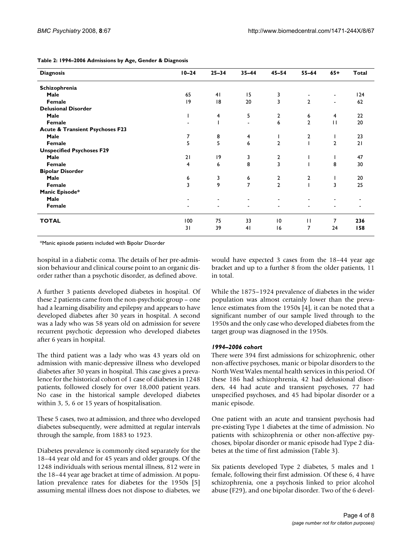| <b>Diagnosis</b>                           | $10 - 24$ | $25 - 34$ | $35 - 44$      | $45 - 54$               | $55 - 64$      | $65+$          | <b>Total</b> |
|--------------------------------------------|-----------|-----------|----------------|-------------------------|----------------|----------------|--------------|
| Schizophrenia                              |           |           |                |                         |                |                |              |
| Male                                       | 65        | 41        | 15             | 3                       |                |                | 124          |
| Female                                     | 19        | 8         | 20             | 3                       | $\overline{a}$ | $\blacksquare$ | 62           |
| <b>Delusional Disorder</b>                 |           |           |                |                         |                |                |              |
| Male                                       | I         | 4         | 5              | 2                       | 6              | 4              | 22           |
| Female                                     |           |           |                | 6                       | $\overline{2}$ | $\mathbf{H}$   | 20           |
| <b>Acute &amp; Transient Psychoses F23</b> |           |           |                |                         |                |                |              |
| Male                                       | 7         | 8         | $\overline{4}$ |                         | $\overline{2}$ |                | 23           |
| Female                                     | 5         | 5         | 6              | $\overline{2}$          | T              | $\overline{2}$ | 21           |
| <b>Unspecified Psychoses F29</b>           |           |           |                |                         |                |                |              |
| Male                                       | 21        | 19        | 3              | $\overline{\mathbf{c}}$ |                |                | 47           |
| Female                                     | 4         | 6         | 8              | $\overline{\mathbf{3}}$ |                | 8              | 30           |
| <b>Bipolar Disorder</b>                    |           |           |                |                         |                |                |              |
| Male                                       | 6         | 3         | 6              | 2                       | 2              |                | 20           |
| Female                                     | 3         | 9         | $\overline{7}$ | $\overline{2}$          | $\mathbf{I}$   | 3              | 25           |
| Manic Episode*                             |           |           |                |                         |                |                |              |
| Male                                       |           |           |                | ٠                       |                |                |              |
| Female                                     |           |           |                |                         |                |                |              |
| <b>TOTAL</b>                               | 100       | 75        | 33             | $\overline{10}$         | $\mathbf{H}$   | 7              | 236          |
|                                            | 31        | 39        | 41             | 16                      | 7              | 24             | 158          |

**Table 2: 1994–2006 Admissions by Age, Gender & Diagnosis**

\*Manic episode patients included with Bipolar Disorder

hospital in a diabetic coma. The details of her pre-admission behaviour and clinical course point to an organic disorder rather than a psychotic disorder, as defined above.

A further 3 patients developed diabetes in hospital. Of these 2 patients came from the non-psychotic group – one had a learning disability and epilepsy and appears to have developed diabetes after 30 years in hospital. A second was a lady who was 58 years old on admission for severe recurrent psychotic depression who developed diabetes after 6 years in hospital.

The third patient was a lady who was 43 years old on admission with manic-depressive illness who developed diabetes after 30 years in hospital. This case gives a prevalence for the historical cohort of 1 case of diabetes in 1248 patients, followed closely for over 18,000 patient years. No case in the historical sample developed diabetes within 3, 5, 6 or 15 years of hospitalisation.

These 5 cases, two at admission, and three who developed diabetes subsequently, were admitted at regular intervals through the sample, from 1883 to 1923.

Diabetes prevalence is commonly cited separately for the 18–44 year old and for 45 years and older groups. Of the 1248 individuals with serious mental illness, 812 were in the 18–44 year age bracket at time of admission. At population prevalence rates for diabetes for the 1950s [5] assuming mental illness does not dispose to diabetes, we

would have expected 3 cases from the 18–44 year age bracket and up to a further 8 from the older patients, 11 in total.

While the 1875–1924 prevalence of diabetes in the wider population was almost certainly lower than the prevalence estimates from the 1950s [4], it can be noted that a significant number of our sample lived through to the 1950s and the only case who developed diabetes from the target group was diagnosed in the 1950s.

#### *1994–2006 cohort*

There were 394 first admissions for schizophrenic, other non-affective psychoses, manic or bipolar disorders to the North West Wales mental health services in this period. Of these 186 had schizophrenia, 42 had delusional disorders, 44 had acute and transient psychoses, 77 had unspecified psychoses, and 45 had bipolar disorder or a manic episode.

One patient with an acute and transient psychosis had pre-existing Type 1 diabetes at the time of admission. No patients with schizophrenia or other non-affective psychoses, bipolar disorder or manic episode had Type 2 diabetes at the time of first admission (Table 3).

Six patients developed Type 2 diabetes, 5 males and 1 female, following their first admission. Of these 6, 4 have schizophrenia, one a psychosis linked to prior alcohol abuse (F29), and one bipolar disorder. Two of the 6 devel-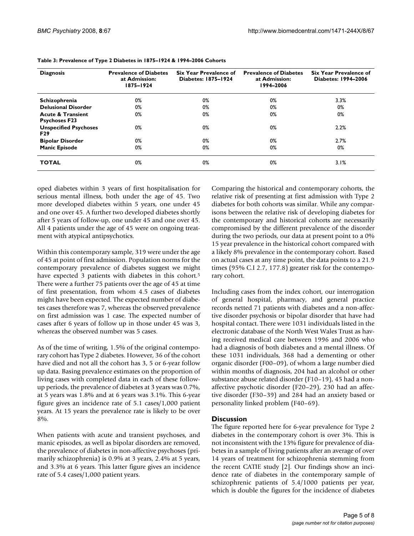| <b>Diagnosis</b>                                     | <b>Prevalence of Diabetes</b><br>at Admission:<br>1875-1924 | <b>Six Year Prevalence of</b><br>Diabetes: 1875-1924 | <b>Prevalence of Diabetes</b><br>at Admission:<br>1994-2006 | <b>Six Year Prevalence of</b><br>Diabetes: 1994-2006 |
|------------------------------------------------------|-------------------------------------------------------------|------------------------------------------------------|-------------------------------------------------------------|------------------------------------------------------|
| Schizophrenia                                        | 0%                                                          | 0%                                                   | 0%                                                          | 3.3%                                                 |
| <b>Delusional Disorder</b>                           | 0%                                                          | 0%                                                   | 0%                                                          | 0%                                                   |
| <b>Acute &amp; Transient</b><br><b>Psychoses F23</b> | 0%                                                          | 0%                                                   | 0%                                                          | 0%                                                   |
| <b>Unspecified Psychoses</b><br>F <sub>29</sub>      | 0%                                                          | 0%                                                   | 0%                                                          | 2.2%                                                 |
| <b>Bipolar Disorder</b>                              | 0%                                                          | 0%                                                   | 0%                                                          | 2.7%                                                 |
| <b>Manic Episode</b>                                 | 0%                                                          | 0%                                                   | 0%                                                          | 0%                                                   |
| <b>TOTAL</b>                                         | 0%                                                          | 0%                                                   | 0%                                                          | 3.1%                                                 |

**Table 3: Prevalence of Type 2 Diabetes in 1875–1924 & 1994–2006 Cohorts**

oped diabetes within 3 years of first hospitalisation for serious mental illness, both under the age of 45. Two more developed diabetes within 5 years, one under 45 and one over 45. A further two developed diabetes shortly after 5 years of follow-up, one under 45 and one over 45. All 4 patients under the age of 45 were on ongoing treatment with atypical antipsychotics.

Within this contemporary sample, 319 were under the age of 45 at point of first admission. Population norms for the contemporary prevalence of diabetes suggest we might have expected 3 patients with diabetes in this cohort.<sup>5</sup> There were a further 75 patients over the age of 45 at time of first presentation, from whom 4.5 cases of diabetes might have been expected. The expected number of diabetes cases therefore was 7, whereas the observed prevalence on first admission was 1 case. The expected number of cases after 6 years of follow up in those under 45 was 3, whereas the observed number was 5 cases.

As of the time of writing, 1.5% of the original contemporary cohort has Type 2 diabetes. However, 36 of the cohort have died and not all the cohort has 3, 5 or 6-year follow up data. Basing prevalence estimates on the proportion of living cases with completed data in each of these followup periods, the prevalence of diabetes at 3 years was 0.7%, at 5 years was 1.8% and at 6 years was 3.1%. This 6-year figure gives an incidence rate of 5.1 cases/1,000 patient years. At 15 years the prevalence rate is likely to be over 8%.

When patients with acute and transient psychoses, and manic episodes, as well as bipolar disorders are removed, the prevalence of diabetes in non-affective psychoses (primarily schizophrenia) is 0.9% at 3 years, 2.4% at 5 years, and 3.3% at 6 years. This latter figure gives an incidence rate of 5.4 cases/1,000 patient years.

Comparing the historical and contemporary cohorts, the relative risk of presenting at first admission with Type 2 diabetes for both cohorts was similar. While any comparisons between the relative risk of developing diabetes for the contemporary and historical cohorts are necessarily compromised by the different prevalence of the disorder during the two periods, our data at present point to a 0% 15 year prevalence in the historical cohort compared with a likely 8% prevalence in the contemporary cohort. Based on actual cases at any time point, the data points to a 21.9 times (95% C.I 2.7, 177.8) greater risk for the contemporary cohort.

Including cases from the index cohort, our interrogation of general hospital, pharmacy, and general practice records netted 71 patients with diabetes and a non-affective disorder psychosis or bipolar disorder that have had hospital contact. There were 1031 individuals listed in the electronic database of the North West Wales Trust as having received medical care between 1996 and 2006 who had a diagnosis of both diabetes and a mental illness. Of these 1031 individuals, 368 had a dementing or other organic disorder (F00–09), of whom a large number died within months of diagnosis, 204 had an alcohol or other substance abuse related disorder (F10–19), 45 had a nonaffective psychotic disorder (F20–29), 230 had an affective disorder (F30–39) and 284 had an anxiety based or personality linked problem (F40–69).

### **Discussion**

The figure reported here for 6-year prevalence for Type 2 diabetes in the contemporary cohort is over 3%. This is not inconsistent with the 13% figure for prevalence of diabetes in a sample of living patients after an average of over 14 years of treatment for schizophrenia stemming from the recent CATIE study [2]. Our findings show an incidence rate of diabetes in the contemporary sample of schizophrenic patients of 5.4/1000 patients per year, which is double the figures for the incidence of diabetes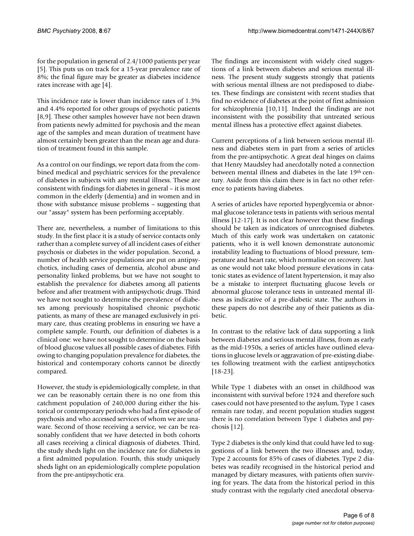for the population in general of 2.4/1000 patients per year [5]. This puts us on track for a 15-year prevalence rate of 8%; the final figure may be greater as diabetes incidence rates increase with age [4].

This incidence rate is lower than incidence rates of 1.3% and 4.4% reported for other groups of psychotic patients [8,9]. These other samples however have not been drawn from patients newly admitted for psychosis and the mean age of the samples and mean duration of treatment have almost certainly been greater than the mean age and duration of treatment found in this sample.

As a control on our findings, we report data from the combined medical and psychiatric services for the prevalence of diabetes in subjects with any mental illness. These are consistent with findings for diabetes in general – it is most common in the elderly (dementia) and in women and in those with substance misuse problems – suggesting that our "assay" system has been performing acceptably.

There are, nevertheless, a number of limitations to this study. In the first place it is a study of service contacts only rather than a complete survey of all incident cases of either psychosis or diabetes in the wider population. Second, a number of health service populations are put on antipsychotics, including cases of dementia, alcohol abuse and personality linked problems, but we have not sought to establish the prevalence for diabetes among all patients before and after treatment with antipsychotic drugs. Third we have not sought to determine the prevalence of diabetes among previously hospitalised chronic psychotic patients, as many of these are managed exclusively in primary care, thus creating problems in ensuring we have a complete sample. Fourth, our definition of diabetes is a clinical one: we have not sought to determine on the basis of blood glucose values all possible cases of diabetes. Fifth owing to changing population prevalence for diabetes, the historical and contemporary cohorts cannot be directly compared.

However, the study is epidemiologically complete, in that we can be reasonably certain there is no one from this catchment population of 240,000 during either the historical or contemporary periods who had a first episode of psychosis and who accessed services of whom we are unaware. Second of those receiving a service, we can be reasonably confident that we have detected in both cohorts all cases receiving a clinical diagnosis of diabetes. Third, the study sheds light on the incidence rate for diabetes in a first admitted population. Fourth, this study uniquely sheds light on an epidemiologically complete population from the pre-antipsychotic era.

The findings are inconsistent with widely cited suggestions of a link between diabetes and serious mental illness. The present study suggests strongly that patients with serious mental illness are not predisposed to diabetes. These findings are consistent with recent studies that find no evidence of diabetes at the point of first admission for schizophrenia [10,11]. Indeed the findings are not inconsistent with the possibility that untreated serious mental illness has a protective effect against diabetes.

Current perceptions of a link between serious mental illness and diabetes stem in part from a series of articles from the pre-antipsychotic. A great deal hinges on claims that Henry Maudsley had anecdotally noted a connection between mental illness and diabetes in the late 19th century. Aside from this claim there is in fact no other reference to patients having diabetes.

A series of articles have reported hyperglycemia or abnormal glucose tolerance tests in patients with serious mental illness [12-17]. It is not clear however that these findings should be taken as indicators of unrecognised diabetes. Much of this early work was undertaken on catatonic patients, who it is well known demonstrate autonomic instability leading to fluctuations of blood pressure, temperature and heart rate, which normalise on recovery. Just as one would not take blood pressure elevations in catatonic states as evidence of latent hypertension, it may also be a mistake to interpret fluctuating glucose levels or abnormal glucose tolerance tests in untreated mental illness as indicative of a pre-diabetic state. The authors in these papers do not describe any of their patients as diabetic.

In contrast to the relative lack of data supporting a link between diabetes and serious mental illness, from as early as the mid-1950s, a series of articles have outlined elevations in glucose levels or aggravation of pre-existing diabetes following treatment with the earliest antipsychotics [18-23].

While Type 1 diabetes with an onset in childhood was inconsistent with survival before 1924 and therefore such cases could not have presented to the asylum, Type 1 cases remain rare today, and recent population studies suggest there is no correlation between Type 1 diabetes and psychosis [12].

Type 2 diabetes is the only kind that could have led to suggestions of a link between the two illnesses and, today, Type 2 accounts for 85% of cases of diabetes. Type 2 diabetes was readily recognised in the historical period and managed by dietary measures, with patients often surviving for years. The data from the historical period in this study contrast with the regularly cited anecdotal observa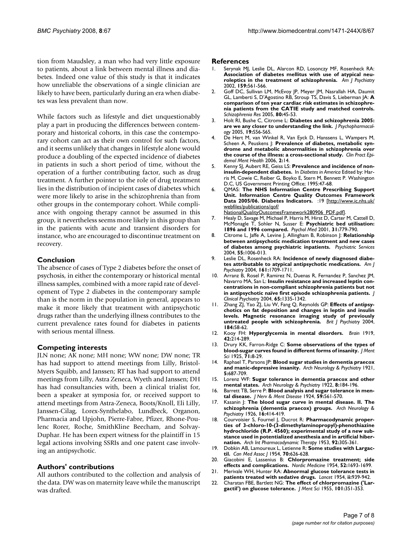tion from Maudsley, a man who had very little exposure to patients, about a link between mental illness and diabetes. Indeed one value of this study is that it indicates how unreliable the observations of a single clinician are likely to have been, particularly during an era when diabetes was less prevalent than now.

While factors such as lifestyle and diet unquestionably play a part in producing the differences between contemporary and historical cohorts, in this case the contemporary cohort can act as their own control for such factors, and it seems unlikely that changes in lifestyle alone would produce a doubling of the expected incidence of diabetes in patients in such a short period of time, without the operation of a further contributing factor, such as drug treatment. A further pointer to the role of drug treatment lies in the distribution of incipient cases of diabetes which were more likely to arise in the schizophrenia than from other groups in the contemporary cohort. While compliance with ongoing therapy cannot be assumed in this group, it nevertheless seems more likely in this group than in the patients with acute and transient disorders for instance, who are encouraged to discontinue treatment on recovery.

#### **Conclusion**

The absence of cases of Type 2 diabetes before the onset of psychosis, in either the contemporary or historical mental illness samples, combined with a more rapid rate of development of Type 2 diabetes in the contemporary sample than is the norm in the population in general, appears to make it more likely that treatment with antipsychotic drugs rather than the underlying illness contributes to the current prevalence rates found for diabetes in patients with serious mental illness.

#### **Competing interests**

JLN none; AK none; MH none; WW none; DW none; TR has had support to attend meetings from Lilly, Bristol-Myers Squibb, and Janssen; RT has had support to attend meetings from Lilly, Astra Zeneca, Wyeth and Janssen; DH has had consultancies with, been a clinical trialist for, been a speaker at symposia for, or received support to attend meetings from Astra-Zeneca, Boots/Knoll, Eli Lilly, Janssen-Cilag, Lorex-Synthelabo, Lundbeck, Organon, Pharmacia and Upjohn, Pierre-Fabre, Pfizer, Rhone-Poulenc Rorer, Roche, SmithKline Beecham, and Solvay-Duphar. He has been expert witness for the plaintiff in 15 legal actions involving SSRIs and one patent case involving an antipsychotic.

#### **Authors' contributions**

All authors contributed to the collection and analysis of the data. DW was on maternity leave while the manuscript was drafted.

#### **References**

- Serynak MJ, Leslie DL, Alarcon RD, Losonczy MF, Rosenheck RA: **[Association of diabetes mellitus with use of atypical neu](http://www.ncbi.nlm.nih.gov/entrez/query.fcgi?cmd=Retrieve&db=PubMed&dopt=Abstract&list_uids=11925293)[roleptics in the treatment of schizophrenia.](http://www.ncbi.nlm.nih.gov/entrez/query.fcgi?cmd=Retrieve&db=PubMed&dopt=Abstract&list_uids=11925293)** *Am J Psychiatry* 2002, **159:**561-566.
- 2. Goff DC, Sullivan LM, McEvoy JP, Meyer JM, Nasrallah HA, Daumit GL, Lamberti S, D'Agostino RB, Stroup TS, Davis S, Lieberman JA: **A comparison of ten year cardiac risk estimates in schizophrenia patients from the CATIE study and matched controls.** *Schizophrenia Res* 2005, **80:**45-53.
- 3. Holt RI, Bushe C, Citrome L: **Diabetes and schizophrenia 2005: are we any closer to understanding the link.** *J Psychopharmacology* 2005, **19:**S56-S65.
- 4. De Hert M, van Winkel R, Van Eyck D, Hanssens L, Wampers M, Scheen A, Peuskens J: **[Prevalence of diabetes, metabolic syn](http://www.ncbi.nlm.nih.gov/entrez/query.fcgi?cmd=Retrieve&db=PubMed&dopt=Abstract&list_uids=16803620)[drome and metabolic abnormalities in schizophrenia over](http://www.ncbi.nlm.nih.gov/entrez/query.fcgi?cmd=Retrieve&db=PubMed&dopt=Abstract&list_uids=16803620) [the course of the illness: a cross-sectional study.](http://www.ncbi.nlm.nih.gov/entrez/query.fcgi?cmd=Retrieve&db=PubMed&dopt=Abstract&list_uids=16803620)** *Clin Pract Epidemol Ment Health* 2006, **2:**14.
- 5. Kenny SJ, Aubert RE, Geiss LS: **Prevalence and incidence of noninsulin-dependent diabetes.** In *Diabetes in America* Edited by: Harris M, Cowie C, Reiber G, Boyko E, Stern M, Bennett P. Washington D.C, US Government Printing Office; 1995:47-68.
- 6. QMAS: **The NHS Information Centre Prescribing Support Unit. Information Centre Quality Outcomes Framework Data 2005/06. Diabetes Indicators.** :19 [[http://www.ic.nhs.uk/](http://www.ic.nhs.uk/webfiles/publications/qof/NationalQualityOutcomesFramework280906_PDF.pdf) [webfiles/publications/qof/](http://www.ic.nhs.uk/webfiles/publications/qof/NationalQualityOutcomesFramework280906_PDF.pdf)

[NationalQualityOutcomesFramework280906\\_PDF.pdf\]](http://www.ic.nhs.uk/webfiles/publications/qof/NationalQualityOutcomesFramework280906_PDF.pdf).

- 7. Healy D, Savage M, Michael P, Harris M, Hirst D, Carter M, Cattell D, McMonagle T, Sohler N, Susser E: **[Psychiatric bed utilisation:](http://www.ncbi.nlm.nih.gov/entrez/query.fcgi?cmd=Retrieve&db=PubMed&dopt=Abstract&list_uids=11459376) [1896 and 1996 compared.](http://www.ncbi.nlm.nih.gov/entrez/query.fcgi?cmd=Retrieve&db=PubMed&dopt=Abstract&list_uids=11459376)** *Psychol Med* 2001, **31:**779-790.
- 8. Citrome L, Jaffe A, Levine J, Allingham B, Robinson J: **[Relationship](http://www.ncbi.nlm.nih.gov/entrez/query.fcgi?cmd=Retrieve&db=PubMed&dopt=Abstract&list_uids=15345760) [between antipsychotic medication treatment and new cases](http://www.ncbi.nlm.nih.gov/entrez/query.fcgi?cmd=Retrieve&db=PubMed&dopt=Abstract&list_uids=15345760) [of diabetes among psychiatric inpatients.](http://www.ncbi.nlm.nih.gov/entrez/query.fcgi?cmd=Retrieve&db=PubMed&dopt=Abstract&list_uids=15345760)** *Psychiatric Services* 2004, **55:**1006-013.
- 9. Leslie DL, Rosenheck RA: **[Incidence of newly diagnosed diabe](http://www.ncbi.nlm.nih.gov/entrez/query.fcgi?cmd=Retrieve&db=PubMed&dopt=Abstract&list_uids=15337666)[tes attributable to atypical antipsychotic medications.](http://www.ncbi.nlm.nih.gov/entrez/query.fcgi?cmd=Retrieve&db=PubMed&dopt=Abstract&list_uids=15337666)** *Am J Psychiatry* 2004, **161:**1709-1711.
- 10. Arranz B, Rosel P, Ramirez N, Duenas R, Fernandez P, Sanchez JM, Navarro MA, San L: **Insulin resistance and increased leptin concentrations in non-compliant schizophrenia patients but not in antipsychotic naïve first episode schizophrenia patients.** *J Clinical Psychiatry* 2004, **65:**1335-1342.
- 11. Zhang ZJ, Yao ZJ, Liu W, Fang Q, Reynolds GP: **Effects of antipsychotics on fat deposition and changes in leptin and insulin levels. Magnetic resonance imaging study of previously untreated people with schizophrenia.** *Brit J Psychiatry* 2004, **184:**58-62.
- 12. Kooy FH: **Hyperglycemia in mental disorders.** *Brain* 1919, **42:**214-289.
- 13. Drury KK, Farron-Ridge C: **Some observations of the types of blood-sugar curves found in different forms of insanity.** *J Ment Sci* 1925, **71:**8-29.
- 14. Raphael T, Parsons JP: **Blood sugar studies in dementia praecox and manic-depressive insanity.** *Arch Neurology & Psychiatry* 1921, **5:**687-709.
- 15. Lorenz WF: **Sugar tolerance in dementia praecox and other mental states.** *Arch Neurology & Psychiatry* 1922, **8:**184-196.
- 16. Barrett TB, Serre P: **Blood analysis and sugar tolerance in mental disease.** *J Nerv & Ment Disease* 1924, **59:**561-570.
- 17. Kasanin J: **The blood sugar curve in mental disease. II. The schizophrenia (dementia praecox) groups.** *Arch Neurology & Psychiatry* 1926, **16:**414-419.
- 18. Courvoisier S, Fournel J, Ducrot R: **Pharmacodynamic properties of 3-chloro-10-(3-dimethylaminopropyl)-phenothiazine hydrochloride (R.P. 4560); experimental study of a new substance used in potentialized anesthesia and in artificial hibernation.** *Arch Int Pharmacodynamic Therapy* 1953, **92:**305-361.
- 19. Dobkin AB, Lamoureux L, Letienne R: **[Some studies with Largac](http://www.ncbi.nlm.nih.gov/entrez/query.fcgi?cmd=Retrieve&db=PubMed&dopt=Abstract&list_uids=13160900)[til.](http://www.ncbi.nlm.nih.gov/entrez/query.fcgi?cmd=Retrieve&db=PubMed&dopt=Abstract&list_uids=13160900)** *Can Med Assoc J* 1954, **70:**626-628.
- 20. Giacobini E, Lassenius B: **Chlorpromazine treatment; side effects and complications.** *Nordic Medicine* 1954, **52:**1693-1699.
- 21. Merivale WH, Hunter RA: **Abnormal glucose tolerance tests in patients treated with sedative drugs.** *Lancet* 1954, **ii:**939-942.
- 22. Charatan FBE, Bartlett NG: **[The effect of chlorpromazine \('Lar](http://www.ncbi.nlm.nih.gov/entrez/query.fcgi?cmd=Retrieve&db=PubMed&dopt=Abstract&list_uids=13243049)[gactil'\) on glucose tolerance.](http://www.ncbi.nlm.nih.gov/entrez/query.fcgi?cmd=Retrieve&db=PubMed&dopt=Abstract&list_uids=13243049)** *J Ment Sci* 1955, **101:**351-353.